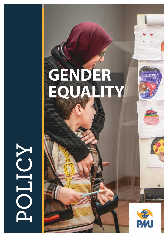

NOITOR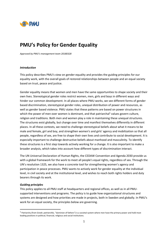

# PMU's Policy for Gender Equality

*Approved by PMU's management team 20180328*

#### *Introduction*

This policy describes PMU's view on gender equality and provides the guiding principles for our equality work, with the overall goals of restored relationships between people and an equal society based on trust, peace and justice.

Gender equality means that women and men have the same opportunities to shape society and their own lives. Stereotypical gender roles restrict women, men, girls and boys in different ways and hinder our common development. In all places where PMU works, we see different forms of gender based discrimination, stereotypical gender roles, unequal distribution of power and resources, as well as gender based violence. PMU states that these patterns are based on power structures in which the power of men over women is dominant, and that patriarchal<sup>1</sup> values govern culture, religion and traditions. Both men and women play a role in maintaining these unequal structures. The structures exist globally, but change over time and manifest themselves differently in different places. In all these contexts, we need to challenge stereotypical beliefs about what it means to be male and female, girl and boy, and strengthen women's and girls' agency and mobilization so that all people, regardless of sex, are free to shape their own lives and contribute to social development. It is especially important to challenge destructive beliefs about manhood and masculinity. To identify these structures is a first step towards actively working for a change. It is also important to make a broader analysis, which takes into account how different types of discrimination interact.

The UN Universal Declaration of Human Rights, the CEDAW Convention and Agenda 2030 provide us with a global framework for the work to meet all people's equal rights, regardless of sex. Through the UN's resolution 1325, we also have a concrete tool for strengthening women's agency and participation in peace processes. PMU wants to actively work for gender equality at the individual level, in civil society and at the institutional level, and wishes to reach both rights holders and duty bearers through its work.

#### *Guiding principles*

This policy applies to all PMU staff at headquarters and regional offices, as well as in all PMUsupported interventions and programs. The policy is to guide how organizational structures and systems are designed and how priorities are made in projects, both in Sweden and globally. In PMU's work for an equal society, the principles below are governing.

 <sup>1</sup> Patriarchy (from Greek: *patriarchēs,* "dominion of fathers") is a societal system where men have the primary power and hold most leading positions in political, financial, religious and social institutions.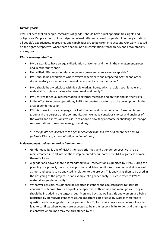## *Overall goals:*

PMU believes that all people, regardless of gender, should have equal opportunities, rights and obligations. People should not be judged or valued differently based on gender. In our organization, all people's experiences, approaches and capabilities are to be taken into account. Our work is based on the rights perspective, where participation, non-discrimination, transparency and accountability are key words.

## *PMU's own organization:*

- PMU's goal is to have an equal distribution of women and men in the management group and in other functions.\*
- Unjustified differences in salary between women and men are unacceptable.\*
- PMU should be a workplace where everyone feels safe and respected. Sexism and other discriminatory expressions and sexual harassment are unacceptable.\*
- PMU should be a workplace with flexible working hours, which enables both female and male staff to obtain a balance between work and family.\*
- PMU strives for equal representation in external meetings and on trips and partner visits.
- In the effort to improve operations, PMU is to create space for capacity development in the area of gender equality.
- PMU is to use inclusive language in all information and communication. Based on target group and the purpose of the communication, we make conscious choices and analyses of the words and expressions we use, in relation to how they reinforce or challenge stereotype representations of women, men, girls and boys.

\* *These points are included in the gender equality plan, but are also mentioned here to facilitate PMU's operationalization and monitoring.*

## *In development and humanitarian interventions:*

- Gender equality is one of PMU's thematic priorities, and a gender perspective is to be mainstreamed into all interventions implemented or supported by PMU, regardless of main thematic focus.
- A gender and power analysis is mandatory in all interventions supported by PMU. During the planning of a project, the situation, position and living conditions of women and girls as well as men and boys is to be analysed in relation to the project. This analysis is then to be used in the designing of the project. For an example of a gender analysis, please refer to PMU's material for gender equality.
- Whenever possible, results shall be reported in gender and age categories to facilitate analysis of outcomes from an equality perspective. Both women and men (girls and boys) should be included in the target group. Men and boys, as well as girls and women, are being restricted by stereotype gender roles. An important part of equality work is therefore to question and challenge destructive gender roles. To focus unilaterally on women is likely to lead to conflicts when women are expected to bear the responsibility to demand their rights in contexts where men may feel threatened by this.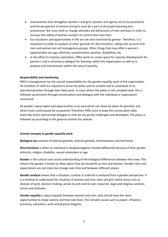- Interventions that strengthen women's and girls' position and agency are to be prioritized, and the perspective of women and girls must be a part of all project planning and assessment. We must work to change attitudes and behaviours of men and boys in order to increase the ability of women and girls to control their own lives.
- Our situations and opportunities in life are not only restricted by gender. Therefore, it is important to make an analysis of other grounds for discrimination, taking into account that men and women are not homogenous groups. Other things that may affect a person's opportunities are age, ethnicity, socioeconomic position, disabilities, etc.
- In the effort to improve operations, PMU wants to create space for capacity development for partners, and a continuous dialogue for learning, within the organisation as well as in projects and interventions within the area of equality.

## *Responsibility and monitoring*

PMU's management has the overall responsibility for the gender equality work of the organization. All members of staff are required to know the policy and its content and to contribute to its operationalization through their daily work. In cases where the policy is not complied with, this is followed up primarily through conversations and dialogue with the individual or organization concerned.

All people's equal rights and opportunities is an area which can never be taken for granted, and which must continuously be conquered. Therefore, PMU aims to keep the conversation alive, internally and in partnership dialogue so that we are jointly challenged and developed. The policy is followed up according to the general routines for policies.

#### *Central concepts in gender equality work*

Biological sex consists of external genitals, internal genitals, chromosomes and hormones.

Discrimination is when an individual is disadvantaged or treated differently because of their gender, ethnicity, religion, disability, sexual orientation or age.

Gender is the cultural and social understanding of the biological differences between the sexes. This means that gender is based on *ideas* about how we *should be* as men and women. Gender roles and expectations are not static but change over time and between different places.

Gender analysis means that a situation, context or material is analysed from a gender perspective. It is a method to understand the situation of women and men, boys and girls within areas such as division of work, decision making, access to and control over resources, legal and religious systems, norms and attitudes.

Gender equality is about equality between women and men, who should have the same opportunities to shape society and their own lives. This includes issues such as power, influence, economy, education, work and physical integrity.